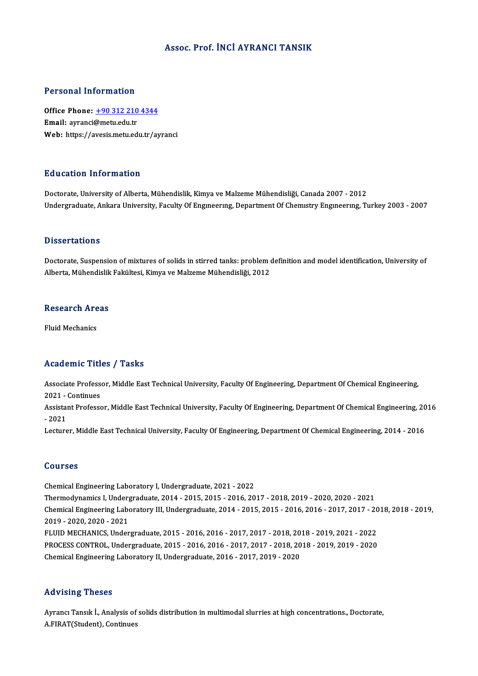### Assoc. Prof. İNCİ AYRANCI TANSIK

### Personal Information

Personal Information<br>Office Phone: <u>+90 312 210 4344</u><br>Email: auranci@matu.edu.tr Fersonar micromation<br>Office Phone: <u>+90 312 210</u><br>Email: ayranci@metu.edu.tr Email: ayranci@metu.edu.tr<br>Web: https://a[vesis.metu.edu.tr/ay](tel:+90 312 210 4344)ranci

### Education Information

Doctorate, University of Alberta, Mühendislik, Kimya ve Malzeme Mühendisliği, Canada 2007 - 2012 Undergraduate, Ankara University, Faculty Of Engineering, Department Of Chemistry Engineering, Turkey 2003 - 2007

### **Dissertations**

Doctorate, Suspension of mixtures of solids in stirred tanks: problem definition and model identification, University of Alberta, Mühendislik Fakültesi, Kimya ve Malzeme Mühendisliği, 2012

### **Research Areas**

Fluid Mechanics

### Academic Titles / Tasks

Academic Titles / Tasks<br>Associate Professor, Middle East Technical University, Faculty Of Engineering, Department Of Chemical Engineering,<br>2021 - Continues Associate Profess<br>2021 - Continues<br>Assistant Professe Associate Professor, Middle East Technical University, Faculty Of Engineering, Department Of Chemical Engineering,<br>2021 - Continues<br>Assistant Professor, Middle East Technical University, Faculty Of Engineering, Department

2021 -<br>Assistai<br>- 2021<br>Lecture Assistant Professor, Middle East Technical University, Faculty Of Engineering, Department Of Chemical Engineering, 20<br>- 2021<br>Lecturer, Middle East Technical University, Faculty Of Engineering, Department Of Chemical Engine

Lecturer, Middle East Technical University, Faculty Of Engineering, Department Of Chemical Engineering, 2014 - 2016<br>Courses

Chemical Engineering Laboratory I, Undergraduate, 2021 - 2022 Sources<br>Chemical Engineering Laboratory I, Undergraduate, 2021 - 2022<br>Thermodynamics I, Undergraduate, 2014 - 2015, 2015 - 2016, 2017 - 2018, 2019 - 2020, 2020 - 2021<br>Chemical Engineering Laboratory III Undergraduate, 2014 Chemical Engineering Laboratory I, Undergraduate, 2021 - 2022<br>Thermodynamics I, Undergraduate, 2014 - 2015, 2015 - 2016, 2017 - 2018, 2019 - 2020, 2020 - 2021<br>Chemical Engineering Laboratory III, Undergraduate, 2014 - 2015 Thermodynamics I, Underg<br>Chemical Engineering Labo<br>2019 - 2020, 2020 - 2021<br>ELUID MECHANICS Under Chemical Engineering Laboratory III, Undergraduate, 2014 - 2015, 2015 - 2016, 2016 - 2017, 2017 - 20<br>2019 - 2020, 2020 - 2021<br>FLUID MECHANICS, Undergraduate, 2015 - 2016, 2016 - 2017, 2017 - 2018, 2018 - 2019, 2021 - 2022<br> 2019 - 2020, 2020 - 2021<br>PLUID MECHANICS, Undergraduate, 2015 - 2016, 2016 - 2017, 2017 - 2018, 2018 - 2019, 2021 - 2022<br>PROCESS CONTROL, Undergraduate, 2015 - 2016, 2016 - 2017, 2017 - 2018, 2018 - 2019, 2019 - 2020 Chemical Engineering Laboratory II, Undergraduate, 2016 - 2017, 2019 - 2020

### Advising Theses

Ayrancı Tansık İ., Analysis of solids distribution in multimodal slurries at high concentrations., Doctorate, A.FIRAT(Student), Continues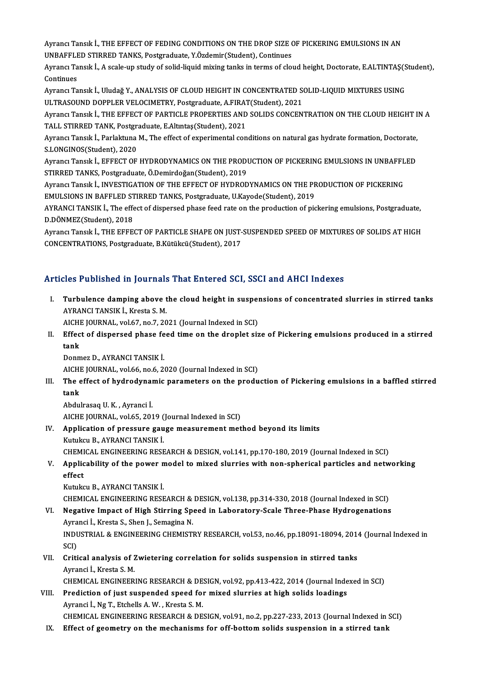Ayrancı Tansık İ., THE EFFECT OF FEDING CONDITIONS ON THE DROP SIZE OF PICKERING EMULSIONS IN AN<br>UNRAFELED STIRRED TANKS, Rostanadusta, Y Ördemir(Student), Continues Ayrancı Tansık İ., THE EFFECT OF FEDING CONDITIONS ON THE DROP SIZE (<br>UNBAFFLED STIRRED TANKS, Postgraduate, Y.Özdemir(Student), Continues<br>Ayrancı Tansık İ. A seele un study of selid liquid miying tanks in terme of slo UNBAFFLED STIRRED TANKS, Postgraduate, Y.Özdemir (Student), Continues

Ayrancı Tansık İ., A scale-up study of solid-liquid mixing tanks in terms of cloud height, Doctorate, E.ALTINTAŞ(Student),<br>Continues Ayrancı Tansık İ., A scale-up study of solid-liquid mixing tanks in terms of cloud height, Doctorate, E.ALTINTAŞ(S<br>Continues<br>Ayrancı Tansık İ., Uludağ Y., ANALYSIS OF CLOUD HEIGHT IN CONCENTRATED SOLID-LIQUID MIXTURES USIN

Continues<br>Ayrancı Tansık İ., Uludağ Y., ANALYSIS OF CLOUD HEIGHT IN CONCENTRATED S(<br>ULTRASOUND DOPPLER VELOCIMETRY, Postgraduate, A.FIRAT(Student), 2021<br>Ayrancı Tansık İ. THE EREECT OF PARTICI E PROPERTIES AND SOLIDS CONCE Ayrancı Tansık İ., Uludağ Y., ANALYSIS OF CLOUD HEIGHT IN CONCENTRATED SOLID-LIQUID MIXTURES USING<br>ULTRASOUND DOPPLER VELOCIMETRY, Postgraduate, A.FIRAT(Student), 2021<br>Ayrancı Tansık İ., THE EFFECT OF PARTICLE PROPERTIES A

ULTRASOUND DOPPLER VELOCIMETRY, Postgraduate, A.FIRAT<br>Ayrancı Tansık İ., THE EFFECT OF PARTICLE PROPERTIES AND<br>TALL STIRRED TANK, Postgraduate, E.Altıntaş(Student), 2021<br>Ayrancı Tansık İ. Barlaktuna M. The effect of evneri Ayrancı Tansık İ., THE EFFECT OF PARTICLE PROPERTIES AND SOLIDS CONCENTRATION ON THE CLOUD HEIGHT I<br>TALL STIRRED TANK, Postgraduate, E.Altıntaş(Student), 2021<br>Ayrancı Tansık İ., Parlaktuna M., The effect of experimental co

TALL STIRRED TANK, Postgra<br>Ayrancı Tansık İ., Parlaktuna<br>S.LONGINOS(Student), 2020<br>Ayrancı Tansık İ., EEEECT OE Ayrancı Tansık İ., Parlaktuna M., The effect of experimental conditions on natural gas hydrate formation, Doctorate,<br>S.LONGINOS(Student), 2020<br>Ayrancı Tansık İ., EFFECT OF HYDRODYNAMICS ON THE PRODUCTION OF PICKERING EMULS

S.LONGINOS(Student), 2020<br>Ayrancı Tansık İ., EFFECT OF HYDRODYNAMICS ON THE PRODUCTION OF PICKERING EMULSIONS IN UNBAFFI<br>STIRRED TANKS, Postgraduate, Ö.Demirdoğan(Student), 2019<br>Ayrancı Tansık İ., INVESTIGATION OF THE EFFE Ayrancı Tansık İ., EFFECT OF HYDRODYNAMICS ON THE PRODUCTION OF PICKERING EMULSIONS IN UNBAFFLED

STIRRED TANKS, Postgraduate, Ö.Demirdoğan(Student), 2019<br>Ayrancı Tansık İ., INVESTIGATION OF THE EFFECT OF HYDRODYNAMICS ON THE PF<br>EMULSIONS IN BAFFLED STIRRED TANKS, Postgraduate, U.Kayode(Student), 2019<br>AYRANCI TANSIK İ. Ayrancı Tansık İ., INVESTIGATION OF THE EFFECT OF HYDRODYNAMICS ON THE PRODUCTION OF PICKERING<br>EMULSIONS IN BAFFLED STIRRED TANKS, Postgraduate, U.Kayode(Student), 2019<br>AYRANCI TANSIK İ., The effect of dispersed phase feed

EMULSIONS IN BAFFLED ST<br>AYRANCI TANSIK İ., The effe<br>D.DÖNMEZ(Student), 2018<br>Ayrancı Tanelk İ. THE EEEE AYRANCI TANSIK İ., The effect of dispersed phase feed rate on the production of pickering emulsions, Postgraduate,<br>D.DÖNMEZ(Student), 2018<br>Ayrancı Tansık İ., THE EFFECT OF PARTICLE SHAPE ON JUST-SUSPENDED SPEED OF MIXTURES

D.DÖNMEZ(Student), 2018<br>Ayrancı Tansık İ., THE EFFECT OF PARTICLE SHAPE ON JUST-SUSPENDED SPEED OF MIXTURES OF SOLIDS AT HIGH<br>CONCENTRATIONS, Postgraduate, B.Kütükcü(Student), 2017

### Articles Published in Journals That Entered SCI, SSCI and AHCI Indexes

I. Turbulence damping above the cloud height in suspensions of concentrated slurries in stirred tanks AYRANCITANSIKİ.,Kresta S.M. Turbulence damping above the cloud height in susper<br>AYRANCI TANSIK İ., Kresta S. M.<br>AICHE JOURNAL, vol.67, no.7, 2021 (Journal Indexed in SCI)<br>Effect of dianorsed phase food time on the droplet sin

AYRANCI TANSIK İ., Kresta S. M.<br>AICHE JOURNAL, vol.67, no.7, 2021 (Journal Indexed in SCI)<br>II. Effect of dispersed phase feed time on the droplet size of Pickering emulsions produced in a stirred<br>tank AICHI<br><mark>Effec</mark><br>Denw Effect of dispersed phase fe<br>tank<br>Donmez D., AYRANCI TANSIK İ.<br>AICHE JOUPNAL vel 66, 206, 21 tank<br>Donmez D., AYRANCI TANSIK İ.<br>AICHE JOURNAL, vol.66, no.6, 2020 (Journal Indexed in SCI)

Donmez D., AYRANCI TANSIK İ.<br>AICHE JOURNAL, vol.66, no.6, 2020 (Journal Indexed in SCI)<br>III. The effect of hydrodynamic parameters on the production of Pickering emulsions in a baffled stirred<br>tank AICHI<br><mark>The e</mark><br>tank The effect of hydrodynai<br>tank<br>Abdulrasaq U.K., Ayranci İ.<br>AIGUE IQUPNAL, vəl.65, 201

tank<br>Abdulrasaq U. K. , Ayranci İ.<br>AICHE JOURNAL, vol.65, 2019 (Journal Indexed in SCI)<br>Annligation of pressure gauge measurement met

# Abdulrasaq U. K. , Ayranci İ.<br>AICHE JOURNAL, vol.65, 2019 (Journal Indexed in SCI)<br>IV. Application of pressure gauge measurement method beyond its limits<br>Kutukcu B., AYRANCI TANSIK İ. AICHE JOURNAL, vol.65, 2019 (<br>Application of pressure gau<br>Kutukcu B., AYRANCI TANSIK İ.<br>CUEMICAL ENCINEEPINC PESE Application of pressure gauge measurement method beyond its limits<br>Kutukcu B., AYRANCI TANSIK İ.<br>CHEMICAL ENGINEERING RESEARCH & DESIGN, vol.141, pp.170-180, 2019 (Journal Indexed in SCI)<br>Applicability of the nower model t

Kutukcu B., AYRANCI TANSIK İ.<br>CHEMICAL ENGINEERING RESEARCH & DESIGN, vol.141, pp.170-180, 2019 (Journal Indexed in SCI)<br>V. Applicability of the power model to mixed slurries with non-spherical particles and networking CHEMI<br><mark>Applic</mark><br>effect V. Applicability of the power model to mixed slurries with non-spherical particles and networking<br>effect<br>Kutukcu B., AYRANCI TANSIK İ.

CHEMICAL ENGINEERINGRESEARCH&DESIGN,vol.138,pp.314-330,2018 (Journal Indexed inSCI)

Kutukcu B., AYRANCI TANSIK İ.<br>CHEMICAL ENGINEERING RESEARCH & DESIGN, vol.138, pp.314-330, 2018 (Journal Indexed in SCI)<br>VI. Negative Impact of High Stirring Speed in Laboratory-Scale Three-Phase Hydrogenations<br>Ayranci CHEMICAL ENGINEERING RESEARCH &<br>Negative Impact of High Stirring Sp<br>Ayranci İ., Kresta S., Shen J., Semagina N.<br>INDUSTRIAL & ENGINEERING GUEMISTI Negative Impact of High Stirring Speed in Laboratory-Scale Three-Phase Hydrogenations<br>Ayranci İ., Kresta S., Shen J., Semagina N.<br>INDUSTRIAL & ENGINEERING CHEMISTRY RESEARCH, vol.53, no.46, pp.18091-18094, 2014 (Journal In Ayra<br>INDU<br>SCI)<br>Criti INDUSTRIAL & ENGINEERING CHEMISTRY RESEARCH, vol.53, no.46, pp.18091-18094, 2014<br>SCI)<br>VII. Critical analysis of Zwietering correlation for solids suspension in stirred tanks<br>Ayrongi L. Knote S. M

## SCI)<br><mark>Critical analysis of 2</mark><br>Ayranci İ., Kresta S. M.<br>CHEMICAL ENCINEED Critical analysis of Zwietering correlation for solids suspension in stirred tanks<br>Ayranci İ., Kresta S. M.<br>CHEMICAL ENGINEERING RESEARCH & DESIGN, vol.92, pp.413-422, 2014 (Journal Indexed in SCI)<br>Predistion of just suspe CHEMICAL ENGINEERING RESEARCH & DESIGN, vol.92, pp.413-422, 2014 (Journal Indexed in SCI)

Ayranci İ., Kresta S. M.<br>CHEMICAL ENGINEERING RESEARCH & DESIGN, vol.92, pp.413-422, 2014 (Journal Inde<br>VIII. Prediction of just suspended speed for mixed slurries at high solids loadings<br>Ayranci İ., Ng T., Etchells A. W.

CHEMICAL ENGINEERINGRESEARCH&DESIGN,vol.91,no.2,pp.227-233,2013 (Journal Indexed inSCI)

IX. Effect of geometry on themechanisms for off-bottomsolids suspension in a stirred tank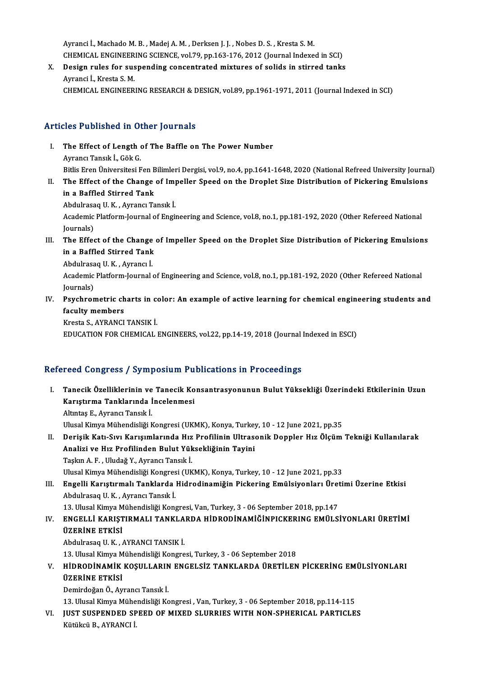Ayranci İ., Machado M. B., Madej A. M., Derksen J. J., Nobes D. S., Kresta S. M. Ayranci İ., Machado M. B. , Madej A. M. , Derksen J. J. , Nobes D. S. , Kresta S. M.<br>CHEMICAL ENGINEERING SCIENCE, vol.79, pp.163-176, 2012 (Journal Indexed in SCI)<br>Design rules for suspending sensentrated mixtures of soli Ayranci İ., Machado M. B. , Madej A. M. , Derksen J. J. , Nobes D. S. , Kresta S. M.<br>CHEMICAL ENGINEERING SCIENCE, vol.79, pp.163-176, 2012 (Journal Indexed in SCI)<br>X. Design rules for suspending concentrated mixtures of s

CHEMICAL ENGINEER<br>Design rules for sus<br>Ayranci İ., Kresta S. M.<br>CHEMICAL ENGINEER X. Design rules for suspending concentrated mixtures of solids in stirred tanks<br>Ayranci İ., Kresta S. M.<br>CHEMICAL ENGINEERING RESEARCH & DESIGN, vol.89, pp.1961-1971, 2011 (Journal Indexed in SCI)

### Articles Published in Other Journals

- rticles Published in Other Journals<br>I. The Effect of Length of The Baffle on The Power Number The Effect of Length<br>The Effect of Length<br>Ayrancı Tansık İ., Gök G.<br>Bitlie Eren Üniversitesi E The Effect of Length of The Baffle on The Power Number<br>Ayrancı Tansık İ., Gök G.<br>Bitlis Eren Üniversitesi Fen Bilimleri Dergisi, vol.9, no.4, pp.1641-1648, 2020 (National Refreed University Journal)<br>The Effect of the Chang Ayrancı Tansık İ., Gök G.<br>Bitlis Eren Üniversitesi Fen Bilimleri Dergisi, vol.9, no.4, pp.1641-1648, 2020 (National Refreed University Journa<br>II. The Effect of the Change of Impeller Speed on the Droplet Size Distribution Bitlis Eren Üniversitesi Fen B<br>The Effect of the Change<br>in a Baffled Stirred Tank The Effect of the Change of Im<sub>1</sub><br>in a Baffled Stirred Tank<br>Abdulrasaq U.K., Ayrancı Tansık İ.<br>Agdemiş Platform Journal of Engil in a Baffled Stirred Tank<br>Abdulrasaq U. K. , Ayrancı Tansık İ.<br>Academic Platform-Journal of Engineering and Science, vol.8, no.1, pp.181-192, 2020 (Other Refereed National<br>Journals) Abdulrasaq U.K., Ayrancı Tansık İ. Academic Platform-Journal of Engineering and Science, vol.8, no.1, pp.181-192, 2020 (Other Refereed National<br>Journals)<br>III. The Effect of the Change of Impeller Speed on the Droplet Size Distribution of Pickering Emulsions
- Journals)<br>The Effect of the Change<br>in a Baffled Stirred Tank<br>Abdulmess U.K. Awsner <sup>i</sup> The Effect of the Change<br>in a Baffled Stirred Tank<br>Abdulrasaq U.K., Ayrancı İ.

in a Baffled Stirred Tank<br>Abdulrasaq U. K. , Ayrancı İ.<br>Academic Platform-Journal of Engineering and Science, vol.8, no.1, pp.181-192, 2020 (Other Refereed National Abdulrasa<br>Academic<br>Journals)<br>Bsychror Academic Platform-Journal of Engineering and Science, vol.8, no.1, pp.181-192, 2020 (Other Refereed National<br>Journals)<br>IV. Psychrometric charts in color: An example of active learning for chemical engineering students and<br>

Journals)<br>Psychrometric ch<br>faculty members<br><sup>Vrosto S. AVPANCI</sub></sup> Psychrometric charts in controller<br>faculty members<br>Kresta S., AYRANCI TANSIK İ.<br>EDUCATION EOR CHEMICAL I

faculty members<br>Kresta S., AYRANCI TANSIK İ.<br>EDUCATION FOR CHEMICAL ENGINEERS, vol.22, pp.14-19, 2018 (Journal Indexed in ESCI)

### Refereed Congress / Symposium Publications in Proceedings

efereed Congress / Symposium Publications in Proceedings<br>I. Tanecik Özelliklerinin ve Tanecik Konsantrasyonunun Bulut Yüksekliği Üzerindeki Etkilerinin Uzun<br>Konstume Tenklerinde İnselenmesi Tanecik Özelliklerinin ve Tanecik Ko<br>Karıştırma Tanklarında İncelenmesi<br>Altıntas E. Ayrangı Tangık İ Tanecik Özelliklerinin ve<br>Karıştırma Tanklarında İ<br>Altıntaş E., Ayrancı Tansık İ.<br>Illusel Kimye Mühandialiği k Karıştırma Tanklarında İncelenmesi<br>Altıntaş E., Ayrancı Tansık İ.<br>Ulusal Kimya Mühendisliği Kongresi (UKMK), Konya, Turkey, 10 - 12 June 2021, pp.35<br>Donisik Katı Suu Konyamlanında Hır Puafilinin Illtresenik Donplan Hır Ölg Altıntaş E., Ayrancı Tansık İ.<br>Ulusal Kimya Mühendisliği Kongresi (UKMK), Konya, Turkey, 10 - 12 June 2021, pp.35<br>II. Derişik Katı-Sıvı Karışımlarında Hız Profilinin Ultrasonik Doppler Hız Ölçüm Tekniği Kullanılarak<br>An Ulusal Kimya Mühendisliği Kongresi (UKMK), Konya, Turkey<br>Derişik Katı-Sıvı Karışımlarında Hız Profilinin Ultrası<br>Analizi ve Hız Profilinden Bulut Yüksekliğinin Tayini<br>Taskın A.E. Hudağ V. Ayrancı Tansık İ TaşkınA.F. ,UludağY.,AyrancıTansıkİ.

Ulusal Kimya Mühendisliği Kongresi (UKMK), Konya, Turkey, 10 - 12 June 2021, pp.33

III. Engelli Karıştırmalı Tanklarda Hidrodinamiğin Pickering Emülsiyonları Üretimi Üzerine Etkisi AbdulrasaqU.K. ,AyrancıTansıkİ. Engelli Karıştırmalı Tanklarda Hidrodinamiğin Pickering Emülsiyonları Üret<br>Abdulrasaq U. K. , Ayrancı Tansık İ.<br>13. Ulusal Kimya Mühendisliği Kongresi, Van, Turkey, 3 - 06 September 2018, pp.147<br>ENGELLİ KARISTIRMALI TANKLA

### Abdulrasaq U. K. , Ayrancı Tansık İ.<br>13. Ulusal Kimya Mühendisliği Kongresi, Van, Turkey, 3 - 06 September 2018, pp.147<br>IV. ENGELLİ KARIŞTIRMALI TANKLARDA HİDRODİNAMİĞİNPICKERING EMÜLSİYONLARI ÜRETİMİ<br>ÜZERİNE ETKİSİ 13. Ulusal Kimya M<br>ENGELLİ KARIŞT<br>ÜZERİNE ETKİSİ ENGELLİ KARIŞTIRMALI TANKLA<br>ÜZERİNE ETKİSİ<br>Abdulrasaq U.K., AYRANCI TANSIK İ.<br>13 Hlucal Kimua Mühandialiği Kansua **ÜZERİNE ETKİSİ**<br>Abdulrasaq U. K. , AYRANCI TANSIK İ.<br>13. Ulusal Kimya Mühendisliği Kongresi, Turkey, 3 - 06 September 2018

Abdulrasaq U. K. , AYRANCI TANSIK İ.<br>13. Ulusal Kimya Mühendisliği Kongresi, Turkey, 3 - 06 September 2018<br>V. HİDRODİNAMİK KOŞULLARIN ENGELSİZ TANKLARDA ÜRETİLEN PİCKERİNG EMÜLSİYONLARI<br>ÜZEDİNE ETKİSİ 13. Ulusal Kimya M<br>HİDRODİNAMİK<br>ÜZERİNE ETKİSİ<br>Demirdeğen Ö. Av HİDRODİNAMİK KOŞULLARIN<br>ÜZERİNE ETKİSİ<br>Demirdoğan Ö., Ayrancı Tansık İ.<br>13. Illucal Kimya Mühandialiği Ko ÜZERİNE ETKİSİ<br>Demirdoğan Ö., Ayrancı Tansık İ.<br>13. Ulusal Kimya Mühendisliği Kongresi , Van, Turkey, 3 - 06 September 2018, pp.114-115<br>ULST SUSPENDED SPEED OF MIXED SI UPPLES WITH NON SPHEPICAL PAPTICLE

Demirdoğan Ö., Ayrancı Tansık İ.<br>13. Ulusal Kimya Mühendisliği Kongresi , Van, Turkey, 3 - 06 September 2018, pp.114-115<br>VI. JUST SUSPENDED SPEED OF MIXED SLURRIES WITH NON-SPHERICAL PARTICLES<br>Kütükcü B., AYRANCI İ. 13. Ulusal Kimya Mühe<br>JUST SUSPENDED SP<br>Kütükcü B., AYRANCI İ.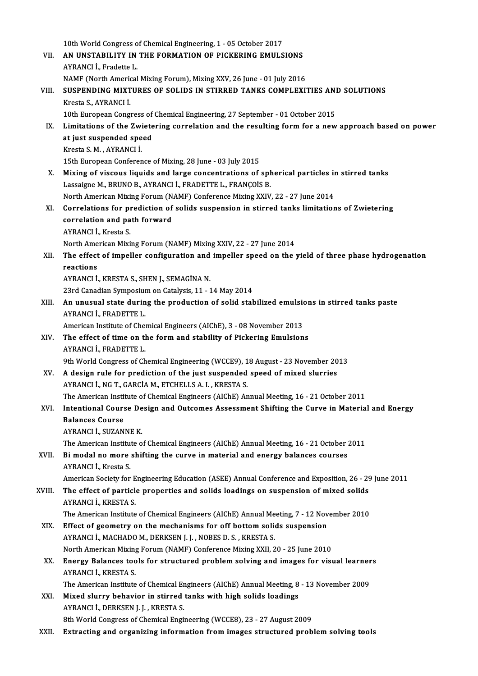10th World Congress of Chemical Engineering, 1 - 05 October 2017<br>AN UNSTARU ITY IN THE EORMATION OF PICKERING EMULS VII. AN UNSTABILITY IN THE FORMATION OF PICKERING EMULSIONS<br>AYRANCI İ. Fradette L. 10th World Congress o<br>**AN UNSTABILITY IN**<br>AYRANCI İ., Fradette L.<br>NAME (Narth Americal AN UNSTABILITY IN THE FORMATION OF PICKERING EMULSIONS<br>AYRANCI İ., Fradette L.<br>NAMF (North Americal Mixing Forum), Mixing XXV, 26 June - 01 July 2016<br>SUSPENDING MIXTURES OF SOLUNS IN STIRRED TANKS COMPLEXI' AYRANCI İ., Fradette L.<br>NAMF (North Americal Mixing Forum), Mixing XXV, 26 June - 01 July 2016<br>VIII. SUSPENDING MIXTURES OF SOLIDS IN STIRRED TANKS COMPLEXITIES AND SOLUTIONS NAMF (North Americ<br>SUSPENDING MIXT<br>Kresta S., AYRANCI İ.<br>10th Euronean Concu SUSPENDING MIXTURES OF SOLIDS IN STIRRED TANKS COMPLEXITIES ANI<br>Kresta S., AYRANCI İ.<br>10th European Congress of Chemical Engineering, 27 September - 01 October 2015<br>Limitations of the Zwietering correlation and the resulti Kresta S., AYRANCI İ.<br>10th European Congress of Chemical Engineering, 27 September - 01 October 2015<br>IX. Limitations of the Zwietering correlation and the resulting form for a new approach based on power<br>at just suspen 10th European Congress of Chemical Engineering, 27 September - 01 October 2015<br>Limitations of the Zwietering correlation and the resulting form for a new<br>at just suspended speed<br>Kresta S. M., AYRANCI İ. Limitations of the Zwi<br>at just suspended spe<br>Kresta S. M. , AYRANCI İ.<br>15th Euroneen Conforen 15th European Conference of Mixing, 28 June - 03 July 2015 X. Mixing of viscous liquids and large concentrations of spherical particles in stirred tanks Lassaigne M., BRUNO B., AYRANCI İ., FRADETTE L., FRANÇOİS B. Mixing of viscous liquids and large concentrations of spherical particles in<br>Lassaigne M., BRUNO B., AYRANCI İ., FRADETTE L., FRANÇOİS B.<br>North American Mixing Forum (NAMF) Conference Mixing XXIV, 22 - 27 June 2014<br>Correla Lassaigne M., BRUNO B., AYRANCI İ., FRADETTE L., FRANÇOİS B.<br>North American Mixing Forum (NAMF) Conference Mixing XXIV, 22 - 27 June 2014<br>XI. Correlations for prediction of solids suspension in stirred tanks limitations of North American Mixing Forum (N.<br>Correlations for prediction of<br>correlation and path forward **Correlations for pi<br>correlation and pa<br>AYRANCI İ., Kresta S.<br>North American Mivi** correlation and path forward<br>AYRANCI İ., Kresta S.<br>North American Mixing Forum (NAMF) Mixing XXIV, 22 - 27 June 2014<br>The effect of impeller configuration and impeller speed on the l AYRANCI İ., Kresta S.<br>North American Mixing Forum (NAMF) Mixing XXIV, 22 - 27 June 2014<br>XII. The effect of impeller configuration and impeller speed on the yield of three phase hydrogenation North Ame<br>The effect<br>reactions<br>AVPANCLİ The effect of impeller configuration and<br>reactions<br>AYRANCI İ., KRESTA S., SHEN J., SEMAGİNA N.<br>22rd Canadian Sumnasium en Catalusis 11 - 1 reactions<br>AYRANCI İ., KRESTA S., SHEN J., SEMAGİNA N.<br>23rd Canadian Symposium on Catalysis, 11 - 14 May 2014 AYRANCI İ., KRESTA S., SHEN J., SEMAGİNA N.<br>23rd Canadian Symposium on Catalysis, 11 - 14 May 2014<br>XIII. An unusual state during the production of solid stabilized emulsions in stirred tanks paste<br>AVRANCLİ, ERADETTE I 23rd Canadian Symposiur<br>An unusual state durin<br>AYRANCI İ., FRADETTE L.<br>American Institute of Char An unusual state during the production of solid stabilized emulsion<br>AYRANCI İ., FRADETTE L.<br>American Institute of Chemical Engineers (AIChE), 3 - 08 November 2013<br>The effect of time on the form and stability of Biskoving E AYRANCI İ., FRADETTE L.<br>American Institute of Chemical Engineers (AIChE), 3 - 08 November 2013<br>XIV. The effect of time on the form and stability of Pickering Emulsions<br>AVRANCLI, ERADETTE I American Institute of Chel<br>The effect of time on the<br>AYRANCI İ., FRADETTE L.<br>9th World Congress of Ch AYRANCI İ., FRADETTE L.<br>9th World Congress of Chemical Engineering (WCCE9), 18 August - 23 November 2013 AYRANCI İ., FRADETTE L.<br>9th World Congress of Chemical Engineering (WCCE9), 18 August - 23 November 20<br>XV. A design rule for prediction of the just suspended speed of mixed slurries 9th World Congress of Chemical Engineering (WCCE9), 1<br>A design rule for prediction of the just suspended<br>AYRANCI İ., NG T., GARCİA M., ETCHELLS A. I. , KRESTA S.<br>The American Institute of Chemical Engineers (AIChE) Ar A design rule for prediction of the just suspended speed of mixed slurries<br>AYRANCI İ., NG T., GARCİA M., ETCHELLS A. I. , KRESTA S.<br>The American Institute of Chemical Engineers (AIChE) Annual Meeting, 16 - 21 October 2011<br> AYRANCI İ., NG T., GARCİA M., ETCHELLS A. I. , KRESTA S.<br>The American Institute of Chemical Engineers (AIChE) Annual Meeting, 16 - 21 October 2011<br>XVI. Intentional Course Design and Outcomes Assessment Shifting the Curve i The American Instit<br>Intentional Course<br>Balances Course<br>AVRANCLİ SUZAN Intentional Course De<br>Balances Course<br>AYRANCI İ., SUZANNE K.<br>The American Institute e Balances Course<br>AYRANCI İ., SUZANNE K.<br>The American Institute of Chemical Engineers (AIChE) Annual Meeting, 16 - 21 October 2011<br>Bi model ne mane shifting the sunye in meterial and anongy helanees seurees AYRANCI İ., SUZANNE K.<br>The American Institute of Chemical Engineers (AIChE) Annual Meeting, 16 - 21 October :<br>XVII. Bi modal no more shifting the curve in material and energy balances courses<br>AYRANCI İ., Kresta S. The American Institue<br>Bi modal no more<br>AYRANCI İ., Kresta S.<br>American Society for Bi modal no more shifting the curve in material and energy balances courses<br>AYRANCI İ., Kresta S.<br>American Society for Engineering Education (ASEE) Annual Conference and Exposition, 26 - 29 June 2011<br>The effect of narticle AYRANCI İ., Kresta S.<br>American Society for Engineering Education (ASEE) Annual Conference and Exposition, 26 - 29<br>XVIII. The effect of particle properties and solids loadings on suspension of mixed solids<br>AVPANCLİ KRESTA S American Society for E<br>The effect of particle<br>AYRANCI İ., KRESTA S.<br>The American Institute The effect of particle properties and solids loadings on suspension of mixed solids<br>AYRANCI İ., KRESTA S.<br>The American Institute of Chemical Engineers (AIChE) Annual Meeting, 7 - 12 November 2010<br>Effect of seemetry on the AYRANCI İ., KRESTA S.<br>The American Institute of Chemical Engineers (AIChE) Annual Meeting, 7 - 12 Nov<br>XIX. Effect of geometry on the mechanisms for off bottom solids suspension<br>AVRANCLI MACHADOM, DERKSEN LL, NORES D. S., K The American Institute of Chemical Engineers (AIChE) Annual Me<br>Effect of geometry on the mechanisms for off bottom solid<br>AYRANCI İ., MACHADO M., DERKSEN J. J. , NOBES D. S. , KRESTA S.<br>North American Miving Forum (NAME) Co Effect of geometry on the mechanisms for off bottom solids suspension<br>AYRANCI İ., MACHADO M., DERKSEN J. J. , NOBES D. S. , KRESTA S.<br>North American Mixing Forum (NAMF) Conference Mixing XXII, 20 - 25 June 2010<br>Energy Pela AYRANCI İ., MACHADO M., DERKSEN J. J. , NOBES D. S. , KRESTA S.<br>North American Mixing Forum (NAMF) Conference Mixing XXII, 20 - 25 June 2010<br>XX. Energy Balances tools for structured problem solving and images for visual le North American Mixing Forum (NAMF) Conference Mixing XXII, 20 - 25 June 2010<br>Energy Balances tools for structured problem solving and images for visual learner<br>AYRANCI İ., KRESTA S.<br>The American Institute of Chemical Engin Energy Balances tools for structured problem solving and images for visual learner<br>AYRANCI İ., KRESTA S.<br>The American Institute of Chemical Engineers (AIChE) Annual Meeting, 8 - 13 November 2009<br>Mixed elunuv behavior in st AYRANCI İ., KRESTA S.<br>The American Institute of Chemical Engineers (AIChE) Annual Meeting, 8<br>XXI. Mixed slurry behavior in stirred tanks with high solids loadings<br>AVRANCLİ, DERKSEN LI, KRESTA S. The American Institute of Chemical Er<br>Mixed slurry behavior in stirred<br>AYRANCI İ., DERKSEN J. J. , KRESTA S.<br><sup>9th Morld Congress of Chemical Engi</sup> 8th World Congress of Chemical Engineering (WCCE8), 23 - 27 August 2009<br>8th World Congress of Chemical Engineering (WCCE8), 23 - 27 August 2009 XXII. Extracting and organizing information from images structured problem solving tools